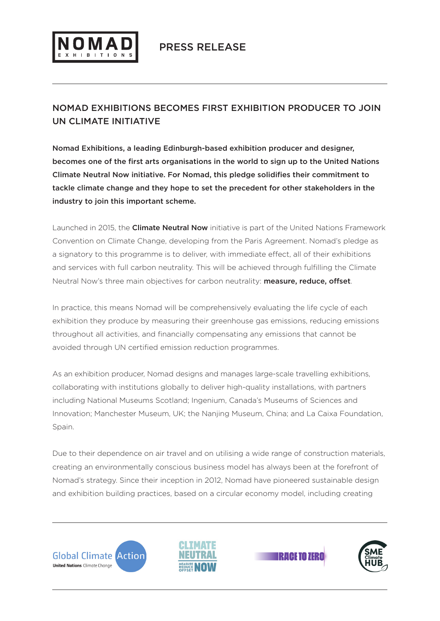

## NOMAD EXHIBITIONS BECOMES FIRST EXHIBITION PRODUCER TO JOIN UN CLIMATE INITIATIVE

Nomad Exhibitions, a leading Edinburgh-based exhibition producer and designer, becomes one of the first arts organisations in the world to sign up to the United Nations Climate Neutral Now initiative. For Nomad, this pledge solidifies their commitment to tackle climate change and they hope to set the precedent for other stakeholders in the industry to join this important scheme.

Launched in 2015, the Climate Neutral Now initiative is part of the United Nations Framework Convention on Climate Change, developing from the Paris Agreement. Nomad's pledge as a signatory to this programme is to deliver, with immediate effect, all of their exhibitions and services with full carbon neutrality. This will be achieved through fulfilling the Climate Neutral Now's three main objectives for carbon neutrality: **measure, reduce, offset**.

In practice, this means Nomad will be comprehensively evaluating the life cycle of each exhibition they produce by measuring their greenhouse gas emissions, reducing emissions throughout all activities, and financially compensating any emissions that cannot be avoided through UN certified emission reduction programmes.

As an exhibition producer, Nomad designs and manages large-scale travelling exhibitions, collaborating with institutions globally to deliver high-quality installations, with partners including National Museums Scotland; Ingenium, Canada's Museums of Sciences and Innovation; Manchester Museum, UK; the Nanjing Museum, China; and La Caixa Foundation, Spain.

Due to their dependence on air travel and on utilising a wide range of construction materials, creating an environmentally conscious business model has always been at the forefront of Nomad's strategy. Since their inception in 2012, Nomad have pioneered sustainable design and exhibition building practices, based on a circular economy model, including creating